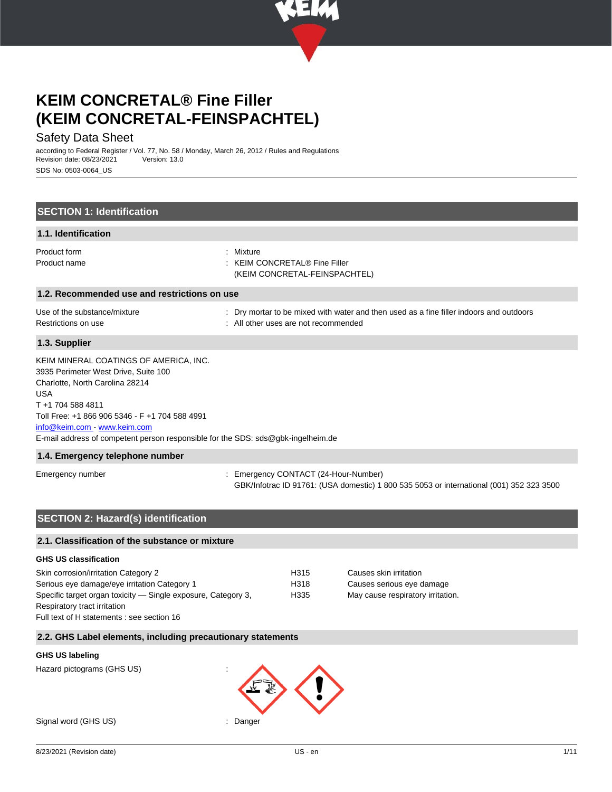

## Safety Data Sheet

according to Federal Register / Vol. 77, No. 58 / Monday, March 26, 2012 / Rules and Regulations Revision date: 08/23/2021 SDS No: 0503-0064\_US

| <b>SECTION 1: Identification</b>                                                                                                                                                                                                                                                                                        |                                                                                                                                |
|-------------------------------------------------------------------------------------------------------------------------------------------------------------------------------------------------------------------------------------------------------------------------------------------------------------------------|--------------------------------------------------------------------------------------------------------------------------------|
| 1.1. Identification                                                                                                                                                                                                                                                                                                     |                                                                                                                                |
| Product form<br>Product name                                                                                                                                                                                                                                                                                            | : Mixture<br><b>KEIM CONCRETAL® Fine Filler</b><br>(KEIM CONCRETAL-FEINSPACHTEL)                                               |
| 1.2. Recommended use and restrictions on use                                                                                                                                                                                                                                                                            |                                                                                                                                |
| Use of the substance/mixture<br>Restrictions on use                                                                                                                                                                                                                                                                     | Dry mortar to be mixed with water and then used as a fine filler indoors and outdoors<br>: All other uses are not recommended  |
| 1.3. Supplier                                                                                                                                                                                                                                                                                                           |                                                                                                                                |
| KEIM MINERAL COATINGS OF AMERICA, INC.<br>3935 Perimeter West Drive, Suite 100<br>Charlotte, North Carolina 28214<br><b>USA</b><br>T+1 704 588 4811<br>Toll Free: +1 866 906 5346 - F +1 704 588 4991<br>info@keim.com www.keim.com<br>E-mail address of competent person responsible for the SDS: sds@gbk-ingelheim.de |                                                                                                                                |
| 1.4. Emergency telephone number                                                                                                                                                                                                                                                                                         |                                                                                                                                |
| Emergency number                                                                                                                                                                                                                                                                                                        | Emergency CONTACT (24-Hour-Number)<br>GBK/Infotrac ID 91761: (USA domestic) 1 800 535 5053 or international (001) 352 323 3500 |

## **SECTION 2: Hazard(s) identification**

#### **2.1. Classification of the substance or mixture**

#### **GHS US classification**

| Skin corrosion/irritation Category 2                          | H315 |
|---------------------------------------------------------------|------|
| Serious eye damage/eye irritation Category 1                  | H318 |
| Specific target organ toxicity — Single exposure, Category 3, | H335 |
| Respiratory tract irritation                                  |      |
| Full text of H statements : see section 16                    |      |

Causes skin irritation Causes serious eye damage May cause respiratory irritation.

#### **2.2. GHS Label elements, including precautionary statements**

#### **GHS US labeling**

Hazard pictograms (GHS US) :

Signal word (GHS US) in the state of the Signal word (GHS US) in the state of the Signal word of the Signal Signal Signal word (GHS US) in the Signal Signal Signal Signal Signal Signal Signal Signal Signal Signal Signal Si

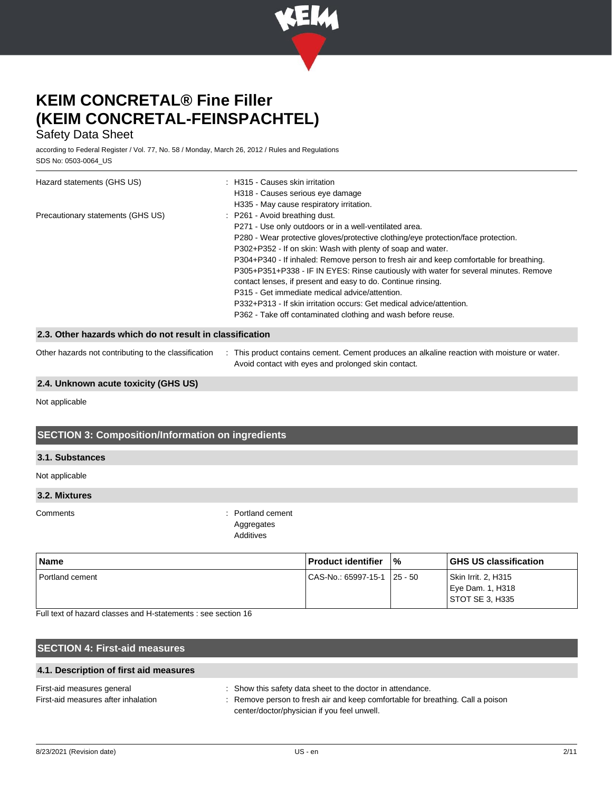

## Safety Data Sheet

according to Federal Register / Vol. 77, No. 58 / Monday, March 26, 2012 / Rules and Regulations SDS No: 0503-0064\_US

| Hazard statements (GHS US)                               | : H315 - Causes skin irritation<br>H318 - Causes serious eye damage<br>H335 - May cause respiratory irritation.                                                                                                                                                                                                                                                                                                                                                                                                                                                                                                                                                                          |
|----------------------------------------------------------|------------------------------------------------------------------------------------------------------------------------------------------------------------------------------------------------------------------------------------------------------------------------------------------------------------------------------------------------------------------------------------------------------------------------------------------------------------------------------------------------------------------------------------------------------------------------------------------------------------------------------------------------------------------------------------------|
| Precautionary statements (GHS US)                        | : P261 - Avoid breathing dust.<br>P271 - Use only outdoors or in a well-ventilated area.<br>P280 - Wear protective gloves/protective clothing/eye protection/face protection.<br>P302+P352 - If on skin: Wash with plenty of soap and water.<br>P304+P340 - If inhaled: Remove person to fresh air and keep comfortable for breathing.<br>P305+P351+P338 - IF IN EYES: Rinse cautiously with water for several minutes. Remove<br>contact lenses, if present and easy to do. Continue rinsing.<br>P315 - Get immediate medical advice/attention.<br>P332+P313 - If skin irritation occurs: Get medical advice/attention.<br>P362 - Take off contaminated clothing and wash before reuse. |
| 2.3. Other hazards which do not result in classification |                                                                                                                                                                                                                                                                                                                                                                                                                                                                                                                                                                                                                                                                                          |
| Other hazards not contributing to the classification     | : This product contains cement. Cement produces an alkaline reaction with moisture or water.<br>Avoid contact with eyes and prolonged skin contact.                                                                                                                                                                                                                                                                                                                                                                                                                                                                                                                                      |

#### **2.4. Unknown acute toxicity (GHS US)**

Not applicable

## **SECTION 3: Composition/Information on ingredients**

#### **3.1. Substances**

Not applicable

### **3.2. Mixtures**

Comments : Portland cement Aggregates Additives

| <b>Name</b>       | <b>Product identifier</b> | '‰         | <b>GHS US classification</b>                               |
|-------------------|---------------------------|------------|------------------------------------------------------------|
| l Portland cement | CAS-No.: 65997-15-1       | $ 25 - 50$ | Skin Irrit. 2, H315<br>Eye Dam. 1, H318<br>STOT SE 3, H335 |

Full text of hazard classes and H-statements : see section 16

## **SECTION 4: First-aid measures**

**4.1. Description of first aid measures**

| First-aid measures general          | Show this safety data sheet to the doctor in attendance.                     |
|-------------------------------------|------------------------------------------------------------------------------|
| First-aid measures after inhalation | Remove person to fresh air and keep comfortable for breathing. Call a poison |
|                                     | center/doctor/physician if you feel unwell.                                  |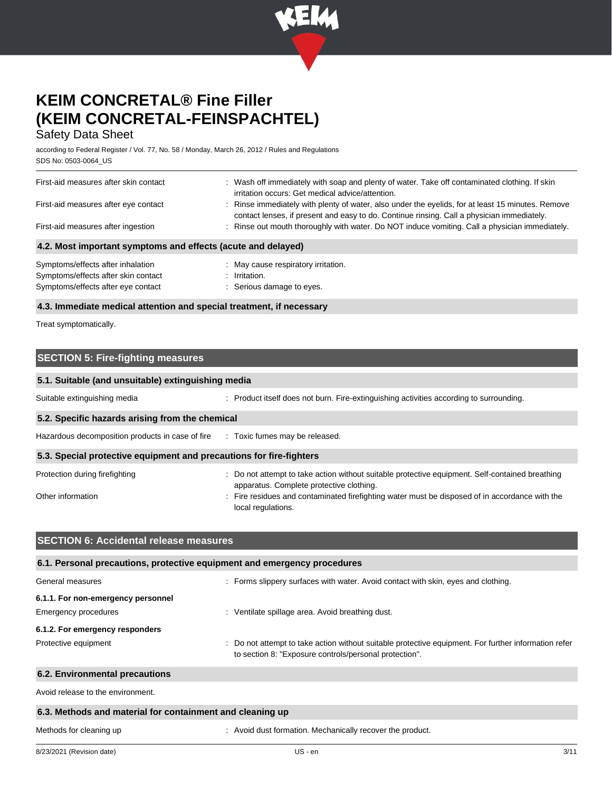

## Safety Data Sheet

according to Federal Register / Vol. 77, No. 58 / Monday, March 26, 2012 / Rules and Regulations SDS No: 0503-0064\_US

| First-aid measures after skin contact<br>First-aid measures after eye contact                                  | : Wash off immediately with soap and plenty of water. Take off contaminated clothing. If skin<br>irritation occurs: Get medical advice/attention.<br>: Rinse immediately with plenty of water, also under the eyelids, for at least 15 minutes. Remove<br>contact lenses, if present and easy to do. Continue rinsing. Call a physician immediately. |
|----------------------------------------------------------------------------------------------------------------|------------------------------------------------------------------------------------------------------------------------------------------------------------------------------------------------------------------------------------------------------------------------------------------------------------------------------------------------------|
| First-aid measures after ingestion                                                                             | : Rinse out mouth thoroughly with water. Do NOT induce vomiting. Call a physician immediately.                                                                                                                                                                                                                                                       |
| 4.2. Most important symptoms and effects (acute and delayed)                                                   |                                                                                                                                                                                                                                                                                                                                                      |
| Symptoms/effects after inhalation<br>Symptoms/effects after skin contact<br>Symptoms/effects after eye contact | : May cause respiratory irritation.<br>: Irritation.<br>: Serious damage to eyes.                                                                                                                                                                                                                                                                    |

#### **4.3. Immediate medical attention and special treatment, if necessary**

Treat symptomatically.

## **SECTION 5: Fire-fighting measures**

| 5.1. Suitable (and unsuitable) extinguishing media                  |                                                                                                                                                                                                                                                                     |  |
|---------------------------------------------------------------------|---------------------------------------------------------------------------------------------------------------------------------------------------------------------------------------------------------------------------------------------------------------------|--|
| Suitable extinguishing media                                        | : Product itself does not burn. Fire-extinguishing activities according to surrounding.                                                                                                                                                                             |  |
| 5.2. Specific hazards arising from the chemical                     |                                                                                                                                                                                                                                                                     |  |
| Hazardous decomposition products in case of fire                    | : Toxic fumes may be released.                                                                                                                                                                                                                                      |  |
| 5.3. Special protective equipment and precautions for fire-fighters |                                                                                                                                                                                                                                                                     |  |
| Protection during firefighting<br>Other information                 | : Do not attempt to take action without suitable protective equipment. Self-contained breathing<br>apparatus. Complete protective clothing.<br>: Fire residues and contaminated firefighting water must be disposed of in accordance with the<br>local regulations. |  |

| <b>SECTION 6: Accidental release measures</b>                                   |                                                                                                                                                                |
|---------------------------------------------------------------------------------|----------------------------------------------------------------------------------------------------------------------------------------------------------------|
| 6.1. Personal precautions, protective equipment and emergency procedures        |                                                                                                                                                                |
| General measures                                                                | : Forms slippery surfaces with water. Avoid contact with skin, eyes and clothing.                                                                              |
| 6.1.1. For non-emergency personnel                                              |                                                                                                                                                                |
| <b>Emergency procedures</b><br>: Ventilate spillage area. Avoid breathing dust. |                                                                                                                                                                |
| 6.1.2. For emergency responders                                                 |                                                                                                                                                                |
| Protective equipment                                                            | : Do not attempt to take action without suitable protective equipment. For further information refer<br>to section 8: "Exposure controls/personal protection". |
| 6.2. Environmental precautions                                                  |                                                                                                                                                                |

Avoid release to the environment.

### **6.3. Methods and material for containment and cleaning up**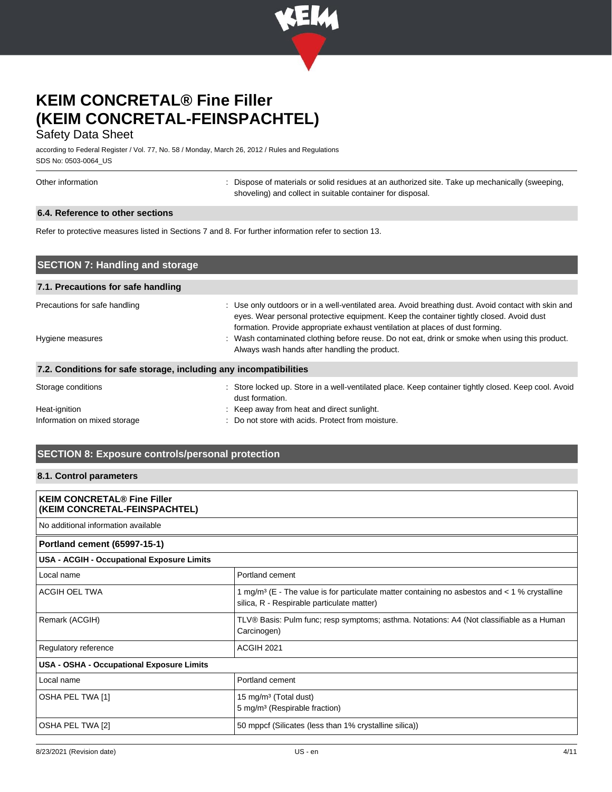

## Safety Data Sheet

according to Federal Register / Vol. 77, No. 58 / Monday, March 26, 2012 / Rules and Regulations SDS No: 0503-0064\_US

|  | Other information |
|--|-------------------|
|--|-------------------|

: Dispose of materials or solid residues at an authorized site. Take up mechanically (sweeping, shoveling) and collect in suitable container for disposal.

#### **6.4. Reference to other sections**

Refer to protective measures listed in Sections 7 and 8. For further information refer to section 13.

| <b>SECTION 7: Handling and storage</b>                            |                                                                                                                                                                                                                                                                                                                                                                                   |
|-------------------------------------------------------------------|-----------------------------------------------------------------------------------------------------------------------------------------------------------------------------------------------------------------------------------------------------------------------------------------------------------------------------------------------------------------------------------|
| 7.1. Precautions for safe handling                                |                                                                                                                                                                                                                                                                                                                                                                                   |
| Precautions for safe handling<br>Hygiene measures                 | : Use only outdoors or in a well-ventilated area. Avoid breathing dust. Avoid contact with skin and<br>eyes. Wear personal protective equipment. Keep the container tightly closed. Avoid dust<br>formation. Provide appropriate exhaust ventilation at places of dust forming.<br>: Wash contaminated clothing before reuse. Do not eat, drink or smoke when using this product. |
| 7.2. Conditions for safe storage, including any incompatibilities | Always wash hands after handling the product.                                                                                                                                                                                                                                                                                                                                     |
| Storage conditions                                                | : Store locked up. Store in a well-ventilated place. Keep container tightly closed. Keep cool. Avoid<br>dust formation.                                                                                                                                                                                                                                                           |
| Heat-ignition                                                     | : Keep away from heat and direct sunlight.                                                                                                                                                                                                                                                                                                                                        |
| Information on mixed storage                                      | Do not store with acids. Protect from moisture.                                                                                                                                                                                                                                                                                                                                   |

## **SECTION 8: Exposure controls/personal protection**

### **8.1. Control parameters**

| <b>KEIM CONCRETAL® Fine Filler</b><br>(KEIM CONCRETAL-FEINSPACHTEL) |                                                                                                                                                           |  |
|---------------------------------------------------------------------|-----------------------------------------------------------------------------------------------------------------------------------------------------------|--|
| No additional information available                                 |                                                                                                                                                           |  |
| Portland cement (65997-15-1)                                        |                                                                                                                                                           |  |
| USA - ACGIH - Occupational Exposure Limits                          |                                                                                                                                                           |  |
| Local name                                                          | Portland cement                                                                                                                                           |  |
| ACGIH OEL TWA                                                       | 1 mg/m <sup>3</sup> (E - The value is for particulate matter containing no asbestos and $<$ 1 % crystalline<br>silica, R - Respirable particulate matter) |  |
| Remark (ACGIH)                                                      | TLV® Basis: Pulm func; resp symptoms; asthma. Notations: A4 (Not classifiable as a Human<br>Carcinogen)                                                   |  |
| Regulatory reference                                                | <b>ACGIH 2021</b>                                                                                                                                         |  |
| USA - OSHA - Occupational Exposure Limits                           |                                                                                                                                                           |  |
| Local name                                                          | Portland cement                                                                                                                                           |  |
| OSHA PEL TWA [1]                                                    | 15 mg/m <sup>3</sup> (Total dust)<br>5 mg/m <sup>3</sup> (Respirable fraction)                                                                            |  |
| OSHA PEL TWA [2]                                                    | 50 mppcf (Silicates (less than 1% crystalline silica))                                                                                                    |  |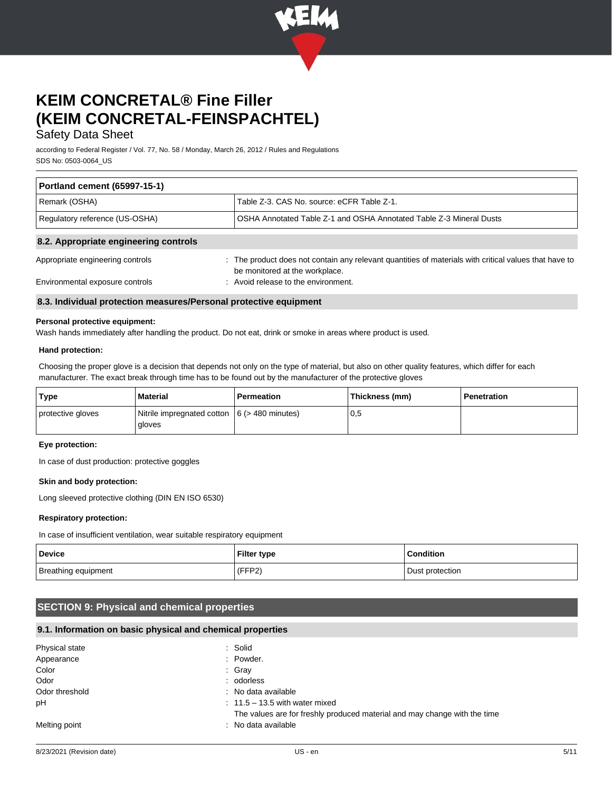

## Safety Data Sheet

according to Federal Register / Vol. 77, No. 58 / Monday, March 26, 2012 / Rules and Regulations SDS No: 0503-0064\_US

| <b>Portland cement (65997-15-1)</b>   |                                                                                                                                         |  |
|---------------------------------------|-----------------------------------------------------------------------------------------------------------------------------------------|--|
| Remark (OSHA)                         | Table Z-3, CAS No. source: eCFR Table Z-1.                                                                                              |  |
| Regulatory reference (US-OSHA)        | OSHA Annotated Table Z-1 and OSHA Annotated Table Z-3 Mineral Dusts                                                                     |  |
| 8.2. Appropriate engineering controls |                                                                                                                                         |  |
| Appropriate engineering controls      | : The product does not contain any relevant quantities of materials with critical values that have to<br>be monitored at the workplace. |  |

Environmental exposure controls : Avoid release to the environment.

#### **8.3. Individual protection measures/Personal protective equipment**

#### **Personal protective equipment:**

Wash hands immediately after handling the product. Do not eat, drink or smoke in areas where product is used.

#### **Hand protection:**

Choosing the proper glove is a decision that depends not only on the type of material, but also on other quality features, which differ for each manufacturer. The exact break through time has to be found out by the manufacturer of the protective gloves

| Type              | <b>Material</b>                                           | Permeation | Thickness (mm) | Penetration |
|-------------------|-----------------------------------------------------------|------------|----------------|-------------|
| protective gloves | Nitrile impregnated cotton $ 6$ (> 480 minutes)<br>gloves |            | 0,5            |             |

#### **Eye protection:**

In case of dust production: protective goggles

#### **Skin and body protection:**

Long sleeved protective clothing (DIN EN ISO 6530)

#### **Respiratory protection:**

In case of insufficient ventilation, wear suitable respiratory equipment

| <b>Device</b>       | <b>Filter type</b> | <b>Condition</b> |
|---------------------|--------------------|------------------|
| Breathing equipment | (FFP2)             | Dust protection  |

## **SECTION 9: Physical and chemical properties**

#### **9.1. Information on basic physical and chemical properties**

| Physical state | : Solid                                                                   |
|----------------|---------------------------------------------------------------------------|
| Appearance     | : Powder.                                                                 |
| Color          | : Gray                                                                    |
| Odor           | : odorless                                                                |
| Odor threshold | : No data available                                                       |
| pН             | $: 11.5 - 13.5$ with water mixed                                          |
|                | The values are for freshly produced material and may change with the time |
| Melting point  | : No data available                                                       |
|                |                                                                           |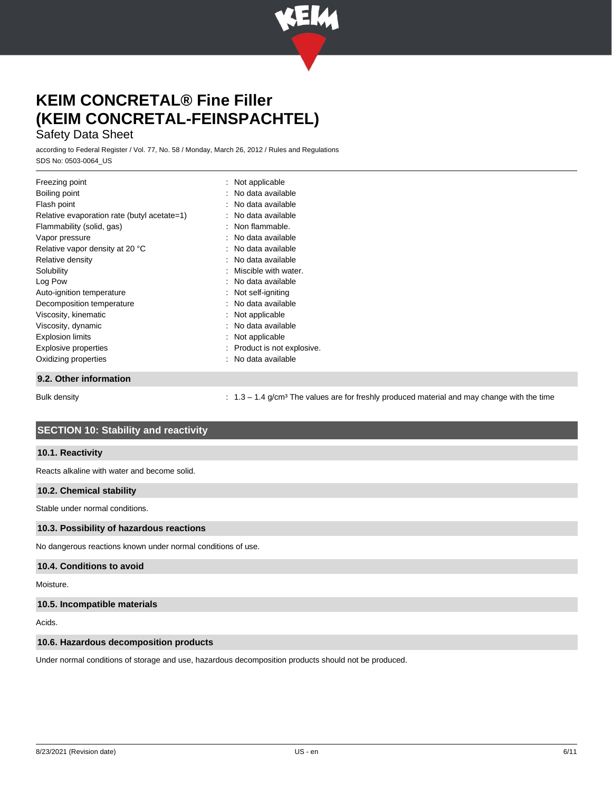

## Safety Data Sheet

according to Federal Register / Vol. 77, No. 58 / Monday, March 26, 2012 / Rules and Regulations SDS No: 0503-0064\_US

| Freezing point                              | $\therefore$ Not applicable |
|---------------------------------------------|-----------------------------|
| Boiling point                               | : No data available         |
| Flash point                                 | : No data available         |
| Relative evaporation rate (butyl acetate=1) | : No data available         |
| Flammability (solid, gas)                   | : Non flammable.            |
| Vapor pressure                              | : No data available         |
| Relative vapor density at 20 °C             | : No data available         |
| Relative density                            | : No data available         |
| Solubility                                  | : Miscible with water.      |
| Log Pow                                     | : No data available         |
| Auto-ignition temperature                   | Not self-igniting           |
| Decomposition temperature                   | : No data available         |
| Viscosity, kinematic                        | $:$ Not applicable          |
| Viscosity, dynamic                          | : No data available         |
| <b>Explosion limits</b>                     | $:$ Not applicable          |
| Explosive properties                        | : Product is not explosive. |
| Oxidizing properties                        | : No data available         |
| 9.2. Other information                      |                             |

Bulk density example of the time in 1.3 – 1.4 g/cm<sup>3</sup> The values are for freshly produced material and may change with the time

## **SECTION 10: Stability and reactivity**

#### **10.1. Reactivity**

Reacts alkaline with water and become solid.

#### **10.2. Chemical stability**

Stable under normal conditions.

#### **10.3. Possibility of hazardous reactions**

No dangerous reactions known under normal conditions of use.

#### **10.4. Conditions to avoid**

Moisture.

#### **10.5. Incompatible materials**

Acids.

#### **10.6. Hazardous decomposition products**

Under normal conditions of storage and use, hazardous decomposition products should not be produced.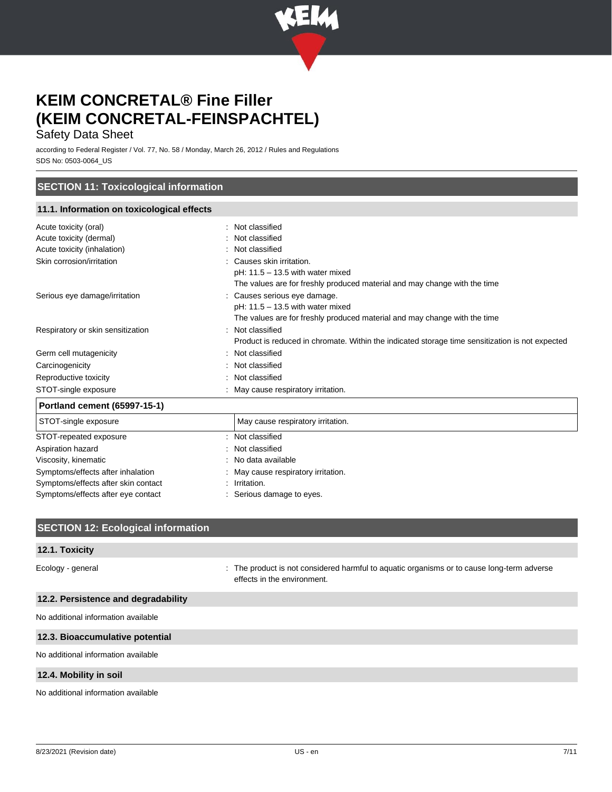

## Safety Data Sheet

according to Federal Register / Vol. 77, No. 58 / Monday, March 26, 2012 / Rules and Regulations SDS No: 0503-0064\_US

### **SECTION 11: Toxicological information**

### **11.1. Information on toxicological effects**

| Acute toxicity (oral)               | Not classified                                                                                  |
|-------------------------------------|-------------------------------------------------------------------------------------------------|
| Acute toxicity (dermal)             | Not classified                                                                                  |
| Acute toxicity (inhalation)         | Not classified                                                                                  |
| Skin corrosion/irritation           | Causes skin irritation.                                                                         |
|                                     | $pH: 11.5 - 13.5$ with water mixed                                                              |
|                                     | The values are for freshly produced material and may change with the time                       |
| Serious eye damage/irritation       | Causes serious eye damage.                                                                      |
|                                     | $pH: 11.5 - 13.5$ with water mixed                                                              |
|                                     | The values are for freshly produced material and may change with the time                       |
| Respiratory or skin sensitization   | Not classified                                                                                  |
|                                     | Product is reduced in chromate. Within the indicated storage time sensitization is not expected |
| Germ cell mutagenicity              | Not classified                                                                                  |
| Carcinogenicity                     | Not classified                                                                                  |
| Reproductive toxicity               | Not classified                                                                                  |
| STOT-single exposure                | May cause respiratory irritation.                                                               |
| Portland cement (65997-15-1)        |                                                                                                 |
| STOT-single exposure                | May cause respiratory irritation.                                                               |
| STOT-repeated exposure              | Not classified                                                                                  |
| Aspiration hazard                   | Not classified                                                                                  |
| Viscosity, kinematic                | No data available                                                                               |
| Symptoms/effects after inhalation   | May cause respiratory irritation.                                                               |
| Symptoms/effects after skin contact | Irritation.                                                                                     |
| Symptoms/effects after eye contact  | Serious damage to eyes.                                                                         |

| <b>SECTION 12: Ecological information</b> |                                                                                                                           |
|-------------------------------------------|---------------------------------------------------------------------------------------------------------------------------|
|                                           |                                                                                                                           |
| 12.1. Toxicity                            |                                                                                                                           |
| Ecology - general                         | : The product is not considered harmful to aguatic organisms or to cause long-term adverse<br>effects in the environment. |
| 12.2. Persistence and degradability       |                                                                                                                           |
| No additional information available       |                                                                                                                           |
| 12.3. Bioaccumulative potential           |                                                                                                                           |
| No additional information available       |                                                                                                                           |
| 12.4. Mobility in soil                    |                                                                                                                           |
| No additional information available       |                                                                                                                           |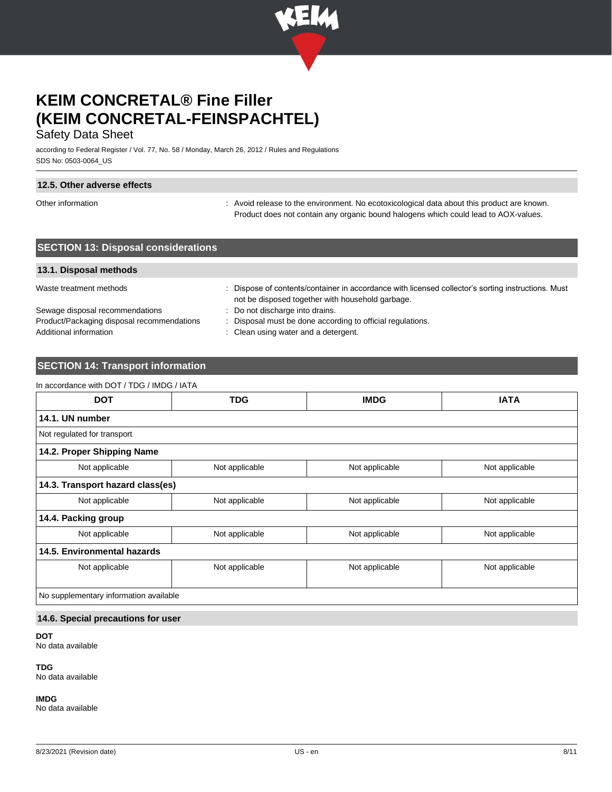

## Safety Data Sheet

according to Federal Register / Vol. 77, No. 58 / Monday, March 26, 2012 / Rules and Regulations SDS No: 0503-0064\_US

#### **12.5. Other adverse effects**

Other information **interval on the environment.** No ecotoxicological data about this product are known. Product does not contain any organic bound halogens which could lead to AOX-values.

## **SECTION 13: Disposal considerations**

#### **13.1. Disposal methods**

Waste treatment methods : Dispose of contents/container in accordance with licensed collector's sorting instructions. Must

Sewage disposal recommendations : Do not discharge into drains. Product/Packaging disposal recommendations : Disposal must be done according to official regulations. Additional information **interest in the contract of the Clean using water and a detergent.** 

- not be disposed together with household garbage.
- 

## **SECTION 14: Transport information**

| <b>DOT</b>                             | <b>TDG</b>     | <b>IMDG</b>    | <b>IATA</b>    |
|----------------------------------------|----------------|----------------|----------------|
| 14.1. UN number                        |                |                |                |
| Not regulated for transport            |                |                |                |
| 14.2. Proper Shipping Name             |                |                |                |
| Not applicable                         | Not applicable | Not applicable | Not applicable |
| 14.3. Transport hazard class(es)       |                |                |                |
| Not applicable                         | Not applicable | Not applicable | Not applicable |
| 14.4. Packing group                    |                |                |                |
| Not applicable                         | Not applicable | Not applicable | Not applicable |
| 14.5. Environmental hazards            |                |                |                |
| Not applicable                         | Not applicable | Not applicable | Not applicable |
|                                        |                |                |                |
| No supplementary information available |                |                |                |

#### **14.6. Special precautions for user**

**DOT**

No data available

**TDG**

No data available

**IMDG**

No data available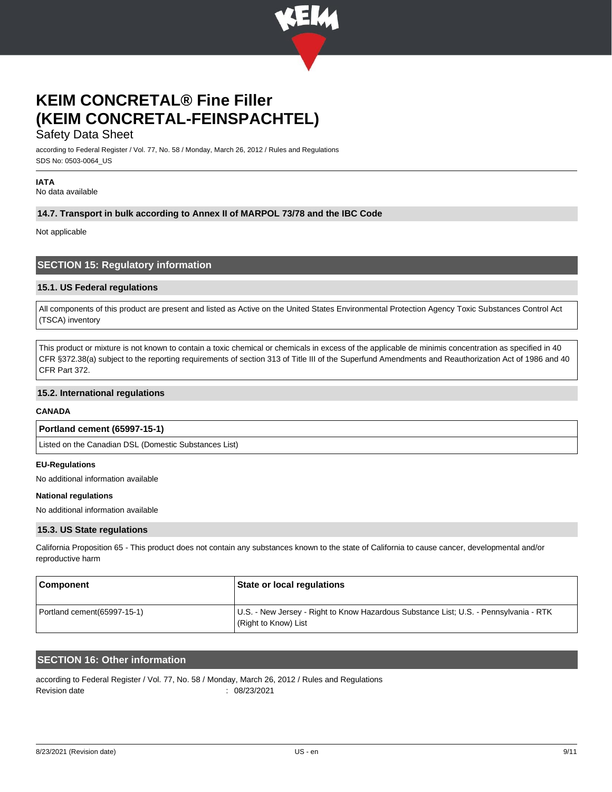

### Safety Data Sheet

according to Federal Register / Vol. 77, No. 58 / Monday, March 26, 2012 / Rules and Regulations SDS No: 0503-0064\_US

### **IATA**

No data available

#### **14.7. Transport in bulk according to Annex II of MARPOL 73/78 and the IBC Code**

Not applicable

#### **SECTION 15: Regulatory information**

#### **15.1. US Federal regulations**

All components of this product are present and listed as Active on the United States Environmental Protection Agency Toxic Substances Control Act (TSCA) inventory

This product or mixture is not known to contain a toxic chemical or chemicals in excess of the applicable de minimis concentration as specified in 40 CFR §372.38(a) subject to the reporting requirements of section 313 of Title III of the Superfund Amendments and Reauthorization Act of 1986 and 40 CFR Part 372.

#### **15.2. International regulations**

#### **CANADA**

#### **Portland cement (65997-15-1)**

Listed on the Canadian DSL (Domestic Substances List)

#### **EU-Regulations**

No additional information available

#### **National regulations**

No additional information available

#### **15.3. US State regulations**

California Proposition 65 - This product does not contain any substances known to the state of California to cause cancer, developmental and/or reproductive harm

| ∣ Component                  | State or local regulations                                                                                    |
|------------------------------|---------------------------------------------------------------------------------------------------------------|
| Portland cement (65997-15-1) | U.S. - New Jersey - Right to Know Hazardous Substance List; U.S. - Pennsylvania - RTK<br>(Right to Know) List |

### **SECTION 16: Other information**

according to Federal Register / Vol. 77, No. 58 / Monday, March 26, 2012 / Rules and Regulations Revision date : 08/23/2021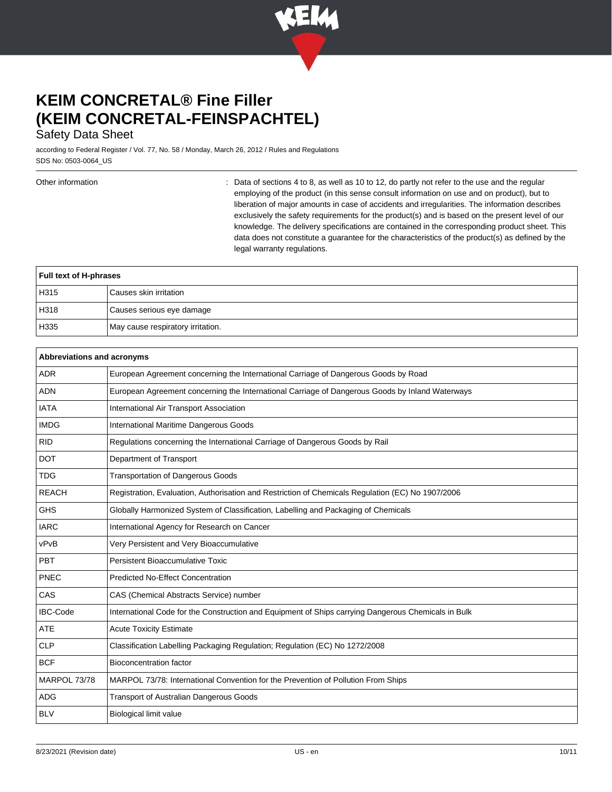

## Safety Data Sheet

according to Federal Register / Vol. 77, No. 58 / Monday, March 26, 2012 / Rules and Regulations SDS No: 0503-0064\_US

Other information **interval of the sections** 4 to 8, as well as 10 to 12, do partly not refer to the use and the regular employing of the product (in this sense consult information on use and on product), but to liberation of major amounts in case of accidents and irregularities. The information describes exclusively the safety requirements for the product(s) and is based on the present level of our knowledge. The delivery specifications are contained in the corresponding product sheet. This data does not constitute a guarantee for the characteristics of the product(s) as defined by the legal warranty regulations.

| <b>Full text of H-phrases</b> |                                   |
|-------------------------------|-----------------------------------|
| H <sub>315</sub>              | Causes skin irritation            |
| H318                          | Causes serious eye damage         |
| H335                          | May cause respiratory irritation. |

| Abbreviations and acronyms |                                                                                                     |  |
|----------------------------|-----------------------------------------------------------------------------------------------------|--|
| <b>ADR</b>                 | European Agreement concerning the International Carriage of Dangerous Goods by Road                 |  |
| <b>ADN</b>                 | European Agreement concerning the International Carriage of Dangerous Goods by Inland Waterways     |  |
| <b>IATA</b>                | International Air Transport Association                                                             |  |
| <b>IMDG</b>                | International Maritime Dangerous Goods                                                              |  |
| <b>RID</b>                 | Regulations concerning the International Carriage of Dangerous Goods by Rail                        |  |
| <b>DOT</b>                 | Department of Transport                                                                             |  |
| <b>TDG</b>                 | <b>Transportation of Dangerous Goods</b>                                                            |  |
| <b>REACH</b>               | Registration, Evaluation, Authorisation and Restriction of Chemicals Regulation (EC) No 1907/2006   |  |
| <b>GHS</b>                 | Globally Harmonized System of Classification, Labelling and Packaging of Chemicals                  |  |
| <b>IARC</b>                | International Agency for Research on Cancer                                                         |  |
| vPvB                       | Very Persistent and Very Bioaccumulative                                                            |  |
| <b>PBT</b>                 | Persistent Bioaccumulative Toxic                                                                    |  |
| <b>PNEC</b>                | <b>Predicted No-Effect Concentration</b>                                                            |  |
| CAS                        | CAS (Chemical Abstracts Service) number                                                             |  |
| <b>IBC-Code</b>            | International Code for the Construction and Equipment of Ships carrying Dangerous Chemicals in Bulk |  |
| <b>ATE</b>                 | <b>Acute Toxicity Estimate</b>                                                                      |  |
| <b>CLP</b>                 | Classification Labelling Packaging Regulation; Regulation (EC) No 1272/2008                         |  |
| <b>BCF</b>                 | <b>Bioconcentration factor</b>                                                                      |  |
| MARPOL 73/78               | MARPOL 73/78: International Convention for the Prevention of Pollution From Ships                   |  |
| <b>ADG</b>                 | <b>Transport of Australian Dangerous Goods</b>                                                      |  |
| <b>BLV</b>                 | <b>Biological limit value</b>                                                                       |  |